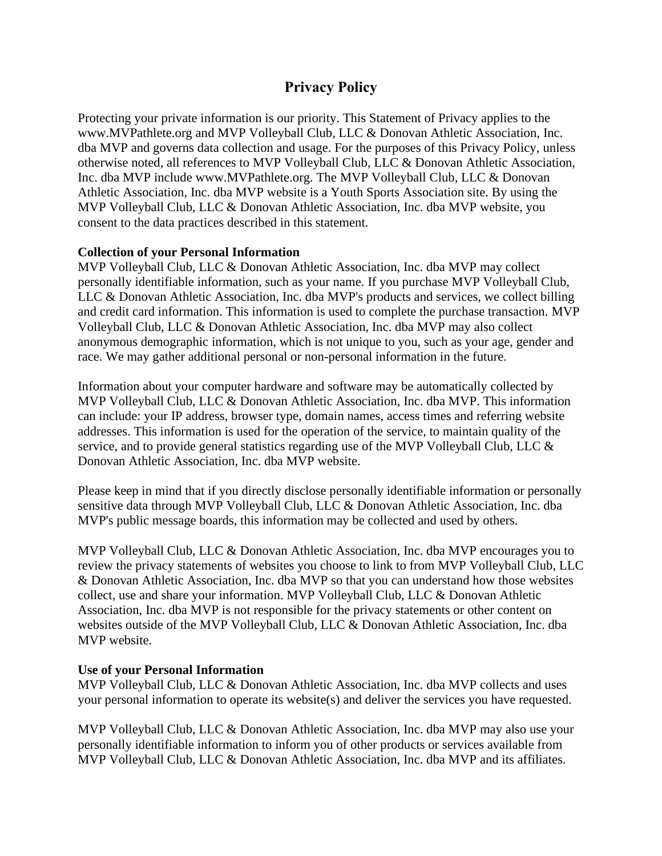# **Privacy Policy**

Protecting your private information is our priority. This Statement of Privacy applies to the www.MVPathlete.org and MVP Volleyball Club, LLC & Donovan Athletic Association, Inc. dba MVP and governs data collection and usage. For the purposes of this Privacy Policy, unless otherwise noted, all references to MVP Volleyball Club, LLC & Donovan Athletic Association, Inc. dba MVP include www.MVPathlete.org. The MVP Volleyball Club, LLC & Donovan Athletic Association, Inc. dba MVP website is a Youth Sports Association site. By using the MVP Volleyball Club, LLC & Donovan Athletic Association, Inc. dba MVP website, you consent to the data practices described in this statement.

### **Collection of your Personal Information**

MVP Volleyball Club, LLC & Donovan Athletic Association, Inc. dba MVP may collect personally identifiable information, such as your name. If you purchase MVP Volleyball Club, LLC & Donovan Athletic Association, Inc. dba MVP's products and services, we collect billing and credit card information. This information is used to complete the purchase transaction. MVP Volleyball Club, LLC & Donovan Athletic Association, Inc. dba MVP may also collect anonymous demographic information, which is not unique to you, such as your age, gender and race. We may gather additional personal or non-personal information in the future.

Information about your computer hardware and software may be automatically collected by MVP Volleyball Club, LLC & Donovan Athletic Association, Inc. dba MVP. This information can include: your IP address, browser type, domain names, access times and referring website addresses. This information is used for the operation of the service, to maintain quality of the service, and to provide general statistics regarding use of the MVP Volleyball Club, LLC & Donovan Athletic Association, Inc. dba MVP website.

Please keep in mind that if you directly disclose personally identifiable information or personally sensitive data through MVP Volleyball Club, LLC & Donovan Athletic Association, Inc. dba MVP's public message boards, this information may be collected and used by others.

MVP Volleyball Club, LLC & Donovan Athletic Association, Inc. dba MVP encourages you to review the privacy statements of websites you choose to link to from MVP Volleyball Club, LLC & Donovan Athletic Association, Inc. dba MVP so that you can understand how those websites collect, use and share your information. MVP Volleyball Club, LLC & Donovan Athletic Association, Inc. dba MVP is not responsible for the privacy statements or other content on websites outside of the MVP Volleyball Club, LLC & Donovan Athletic Association, Inc. dba MVP website.

### **Use of your Personal Information**

MVP Volleyball Club, LLC & Donovan Athletic Association, Inc. dba MVP collects and uses your personal information to operate its website(s) and deliver the services you have requested.

MVP Volleyball Club, LLC & Donovan Athletic Association, Inc. dba MVP may also use your personally identifiable information to inform you of other products or services available from MVP Volleyball Club, LLC & Donovan Athletic Association, Inc. dba MVP and its affiliates.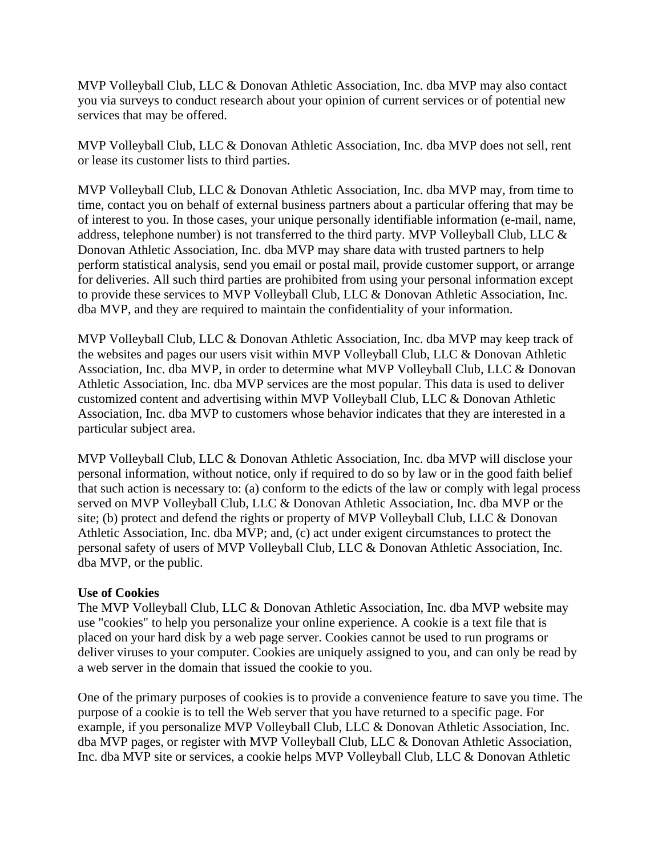MVP Volleyball Club, LLC & Donovan Athletic Association, Inc. dba MVP may also contact you via surveys to conduct research about your opinion of current services or of potential new services that may be offered.

MVP Volleyball Club, LLC & Donovan Athletic Association, Inc. dba MVP does not sell, rent or lease its customer lists to third parties.

MVP Volleyball Club, LLC & Donovan Athletic Association, Inc. dba MVP may, from time to time, contact you on behalf of external business partners about a particular offering that may be of interest to you. In those cases, your unique personally identifiable information (e-mail, name, address, telephone number) is not transferred to the third party. MVP Volleyball Club, LLC & Donovan Athletic Association, Inc. dba MVP may share data with trusted partners to help perform statistical analysis, send you email or postal mail, provide customer support, or arrange for deliveries. All such third parties are prohibited from using your personal information except to provide these services to MVP Volleyball Club, LLC & Donovan Athletic Association, Inc. dba MVP, and they are required to maintain the confidentiality of your information.

MVP Volleyball Club, LLC & Donovan Athletic Association, Inc. dba MVP may keep track of the websites and pages our users visit within MVP Volleyball Club, LLC & Donovan Athletic Association, Inc. dba MVP, in order to determine what MVP Volleyball Club, LLC & Donovan Athletic Association, Inc. dba MVP services are the most popular. This data is used to deliver customized content and advertising within MVP Volleyball Club, LLC & Donovan Athletic Association, Inc. dba MVP to customers whose behavior indicates that they are interested in a particular subject area.

MVP Volleyball Club, LLC & Donovan Athletic Association, Inc. dba MVP will disclose your personal information, without notice, only if required to do so by law or in the good faith belief that such action is necessary to: (a) conform to the edicts of the law or comply with legal process served on MVP Volleyball Club, LLC & Donovan Athletic Association, Inc. dba MVP or the site; (b) protect and defend the rights or property of MVP Volleyball Club, LLC & Donovan Athletic Association, Inc. dba MVP; and, (c) act under exigent circumstances to protect the personal safety of users of MVP Volleyball Club, LLC & Donovan Athletic Association, Inc. dba MVP, or the public.

### **Use of Cookies**

The MVP Volleyball Club, LLC & Donovan Athletic Association, Inc. dba MVP website may use "cookies" to help you personalize your online experience. A cookie is a text file that is placed on your hard disk by a web page server. Cookies cannot be used to run programs or deliver viruses to your computer. Cookies are uniquely assigned to you, and can only be read by a web server in the domain that issued the cookie to you.

One of the primary purposes of cookies is to provide a convenience feature to save you time. The purpose of a cookie is to tell the Web server that you have returned to a specific page. For example, if you personalize MVP Volleyball Club, LLC & Donovan Athletic Association, Inc. dba MVP pages, or register with MVP Volleyball Club, LLC & Donovan Athletic Association, Inc. dba MVP site or services, a cookie helps MVP Volleyball Club, LLC & Donovan Athletic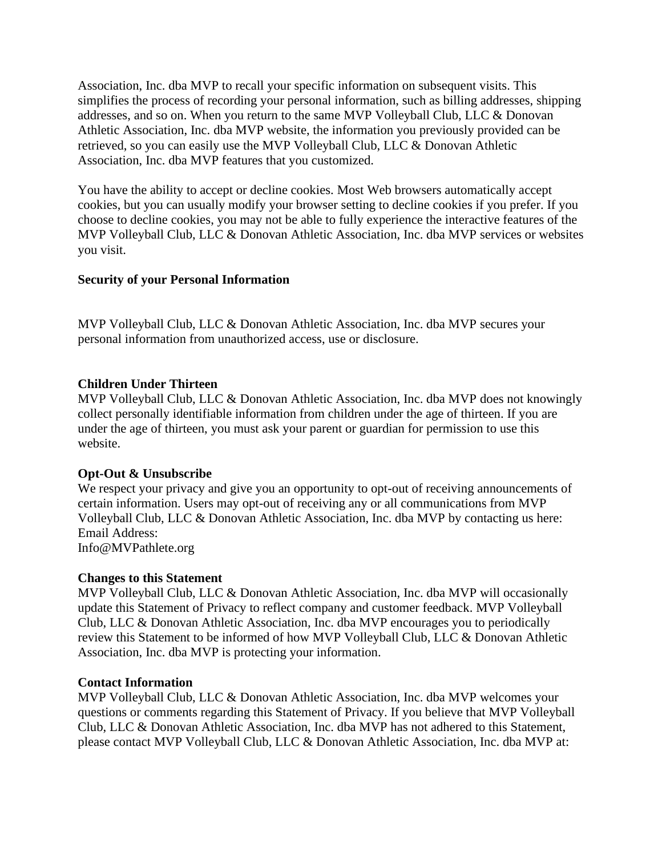Association, Inc. dba MVP to recall your specific information on subsequent visits. This simplifies the process of recording your personal information, such as billing addresses, shipping addresses, and so on. When you return to the same MVP Volleyball Club, LLC & Donovan Athletic Association, Inc. dba MVP website, the information you previously provided can be retrieved, so you can easily use the MVP Volleyball Club, LLC & Donovan Athletic Association, Inc. dba MVP features that you customized.

You have the ability to accept or decline cookies. Most Web browsers automatically accept cookies, but you can usually modify your browser setting to decline cookies if you prefer. If you choose to decline cookies, you may not be able to fully experience the interactive features of the MVP Volleyball Club, LLC & Donovan Athletic Association, Inc. dba MVP services or websites you visit.

## **Security of your Personal Information**

MVP Volleyball Club, LLC & Donovan Athletic Association, Inc. dba MVP secures your personal information from unauthorized access, use or disclosure.

### **Children Under Thirteen**

MVP Volleyball Club, LLC & Donovan Athletic Association, Inc. dba MVP does not knowingly collect personally identifiable information from children under the age of thirteen. If you are under the age of thirteen, you must ask your parent or guardian for permission to use this website.

### **Opt-Out & Unsubscribe**

We respect your privacy and give you an opportunity to opt-out of receiving announcements of certain information. Users may opt-out of receiving any or all communications from MVP Volleyball Club, LLC & Donovan Athletic Association, Inc. dba MVP by contacting us here: Email Address: Info@MVPathlete.org

### **Changes to this Statement**

MVP Volleyball Club, LLC & Donovan Athletic Association, Inc. dba MVP will occasionally update this Statement of Privacy to reflect company and customer feedback. MVP Volleyball Club, LLC & Donovan Athletic Association, Inc. dba MVP encourages you to periodically review this Statement to be informed of how MVP Volleyball Club, LLC & Donovan Athletic Association, Inc. dba MVP is protecting your information.

### **Contact Information**

MVP Volleyball Club, LLC & Donovan Athletic Association, Inc. dba MVP welcomes your questions or comments regarding this Statement of Privacy. If you believe that MVP Volleyball Club, LLC & Donovan Athletic Association, Inc. dba MVP has not adhered to this Statement, please contact MVP Volleyball Club, LLC & Donovan Athletic Association, Inc. dba MVP at: